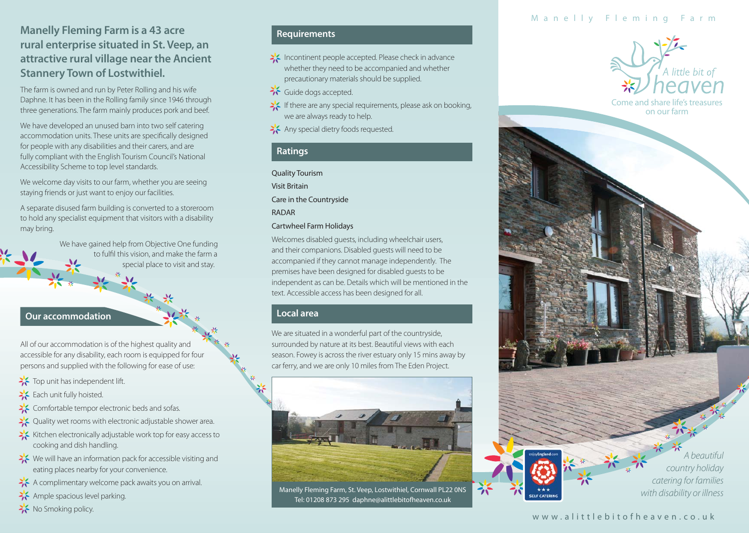# **Manelly Fleming Farm is a 43 acre rural enterprise situated in St. Veep, an attractive rural village near the Ancient Stannery Town of Lostwithiel.**

The farm is owned and run by Peter Rolling and his wife Daphne. It has been in the Rolling family since 1946 through three generations. The farm mainly produces pork and beef.

We have developed an unused barn into two self catering accommodation units. These units are specifically designed for people with any disabilities and their carers, and are fully compliant with the English Tourism Council's National Accessibility Scheme to top level standards.

We welcome day visits to our farm, whether you are seeing staying friends or just want to enjoy our facilities.

A separate disused farm building is converted to a storeroom to hold any specialist equipment that visitors with a disability may bring.

> We have gained help from Objective One funding to fulfil this vision, and make the farm a special place to visit and stay.

### **Our accommodation**

All of our accommodation is of the highest quality and accessible for any disability, each room is equipped for four persons and supplied with the following for ease of use:

- Top unit has independent lift.
- Each unit fully hoisted.
- SComfortable tempor electronic beds and sofas.
- >><>
Quality wet rooms with electronic adjustable shower area.
- Kitchen electronically adjustable work top for easy access to cooking and dish handling.
- $\geq$  We will have an information pack for accessible visiting and eating places nearby for your convenience.
- A complimentary welcome pack awaits you on arrival.
- Ample spacious level parking.
- No Smoking policy.

# **Requirements**

- Incontinent people accepted. Please check in advance whether they need to be accompanied and whether precautionary materials should be supplied.
- Guide dogs accepted.
- If there are any special requirements, please ask on booking, we are always ready to help.
- Any special dietry foods requested.

#### **Ratings**

Quality Tourism Visit Britain Care in the Countryside RADAR

#### Cartwheel Farm Holidays

Welcomes disabled guests, including wheelchair users, and their companions. Disabled guests will need to be accompanied if they cannot manage independently. The premises have been designed for disabled guests to be independent as can be. Details which will be mentioned in the text. Accessible access has been designed for all.

#### **Local area**

We are situated in a wonderful part of the countryside, surrounded by nature at its best. Beautiful views with each season. Fowey is across the river estuary only 15 mins away by car ferry, and we are only 10 miles from The Eden Project.



Manelly Fleming Farm, St. Veep, Lostwithiel, Cornwall PL22 0NS Tel: 01208 873 295 daphne@alittlebitofheaven.co.uk

つい

# Manelly Fleming Farm



Come and share life's treasures on our farm

> A beautiful country holiday catering for families with disability or illness